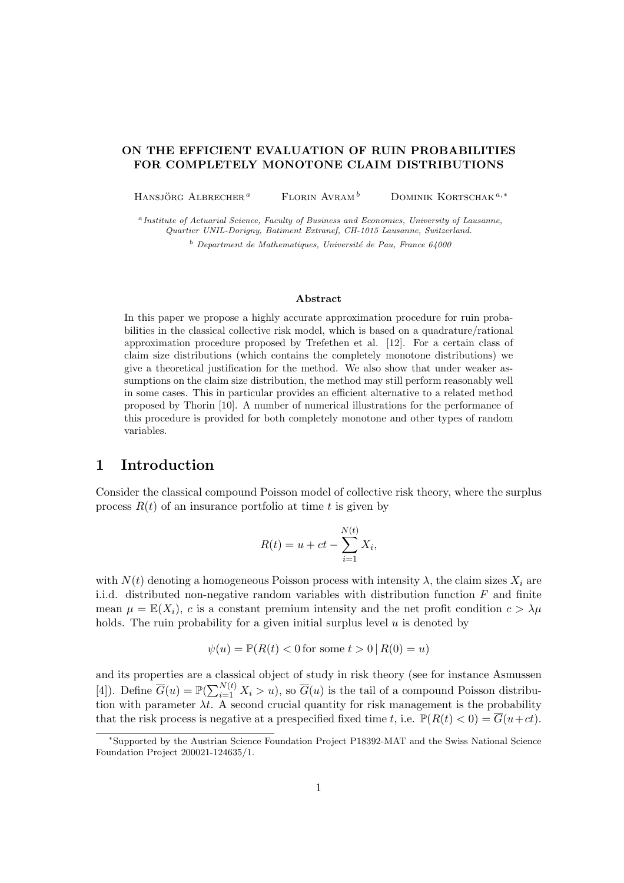### ON THE EFFICIENT EVALUATION OF RUIN PROBABILITIES FOR COMPLETELY MONOTONE CLAIM DISTRIBUTIONS

HANSJÖRG ALBRECHER<sup>a</sup> FLORIN AVRAM<sup>b</sup> DOMINIK KORTSCHAK<sup> $a,*$ </sup>

<sup>a</sup> Institute of Actuarial Science, Faculty of Business and Economics, University of Lausanne, Quartier UNIL-Dorigny, Batiment Extranef, CH-1015 Lausanne, Switzerland.

 $b$  Department de Mathematiques, Université de Pau, France 64000

#### Abstract

In this paper we propose a highly accurate approximation procedure for ruin probabilities in the classical collective risk model, which is based on a quadrature/rational approximation procedure proposed by Trefethen et al. [12]. For a certain class of claim size distributions (which contains the completely monotone distributions) we give a theoretical justification for the method. We also show that under weaker assumptions on the claim size distribution, the method may still perform reasonably well in some cases. This in particular provides an efficient alternative to a related method proposed by Thorin [10]. A number of numerical illustrations for the performance of this procedure is provided for both completely monotone and other types of random variables.

## 1 Introduction

Consider the classical compound Poisson model of collective risk theory, where the surplus process  $R(t)$  of an insurance portfolio at time t is given by

$$
R(t) = u + ct - \sum_{i=1}^{N(t)} X_i,
$$

with  $N(t)$  denoting a homogeneous Poisson process with intensity  $\lambda$ , the claim sizes  $X_i$  are i.i.d. distributed non-negative random variables with distribution function  $F$  and finite mean  $\mu = \mathbb{E}(X_i)$ , c is a constant premium intensity and the net profit condition  $c > \lambda \mu$ holds. The ruin probability for a given initial surplus level  $u$  is denoted by

$$
\psi(u) = \mathbb{P}(R(t) < 0 \text{ for some } t > 0 \mid R(0) = u)
$$

and its properties are a classical object of study in risk theory (see for instance Asmussen [4]). Define  $\overline{G}(u) = \mathbb{P}(\sum_{i=1}^{N(t)})$  $i=1 \atop i=1}^{N(t)} X_i > u$ , so  $\overline{G}(u)$  is the tail of a compound Poisson distribution with parameter  $\lambda t$ . A second crucial quantity for risk management is the probability that the risk process is negative at a prespecified fixed time t, i.e.  $\mathbb{P}(R(t) < 0) = \overline{G}(u+ct)$ .

<sup>∗</sup>Supported by the Austrian Science Foundation Project P18392-MAT and the Swiss National Science Foundation Project 200021-124635/1.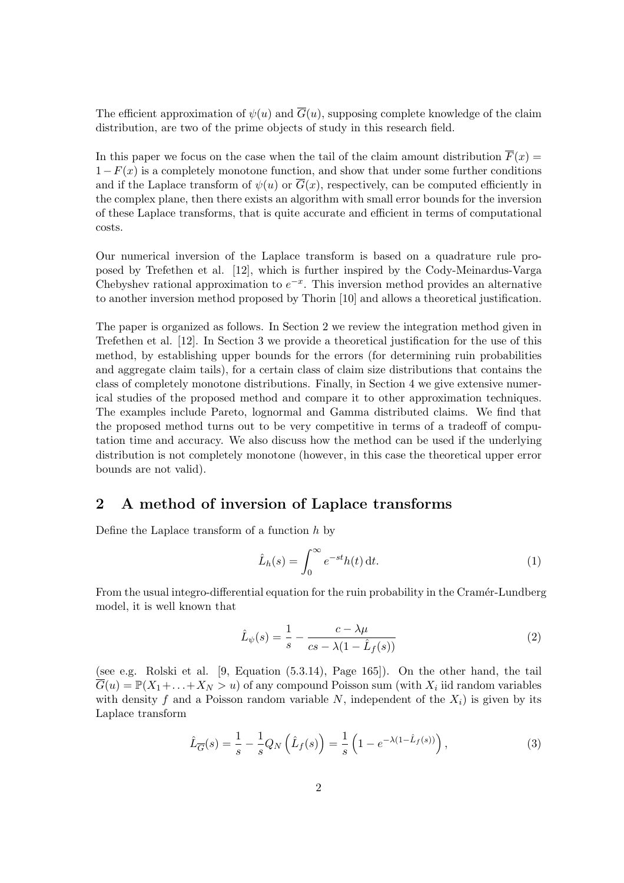The efficient approximation of  $\psi(u)$  and  $\overline{G}(u)$ , supposing complete knowledge of the claim distribution, are two of the prime objects of study in this research field.

In this paper we focus on the case when the tail of the claim amount distribution  $\overline{F}(x) =$  $1-F(x)$  is a completely monotone function, and show that under some further conditions and if the Laplace transform of  $\psi(u)$  or  $\overline{G}(x)$ , respectively, can be computed efficiently in the complex plane, then there exists an algorithm with small error bounds for the inversion of these Laplace transforms, that is quite accurate and efficient in terms of computational costs.

Our numerical inversion of the Laplace transform is based on a quadrature rule proposed by Trefethen et al. [12], which is further inspired by the Cody-Meinardus-Varga Chebyshev rational approximation to  $e^{-x}$ . This inversion method provides an alternative to another inversion method proposed by Thorin [10] and allows a theoretical justification.

The paper is organized as follows. In Section 2 we review the integration method given in Trefethen et al. [12]. In Section 3 we provide a theoretical justification for the use of this method, by establishing upper bounds for the errors (for determining ruin probabilities and aggregate claim tails), for a certain class of claim size distributions that contains the class of completely monotone distributions. Finally, in Section 4 we give extensive numerical studies of the proposed method and compare it to other approximation techniques. The examples include Pareto, lognormal and Gamma distributed claims. We find that the proposed method turns out to be very competitive in terms of a tradeoff of computation time and accuracy. We also discuss how the method can be used if the underlying distribution is not completely monotone (however, in this case the theoretical upper error bounds are not valid).

# 2 A method of inversion of Laplace transforms

Define the Laplace transform of a function  $h$  by

$$
\hat{L}_h(s) = \int_0^\infty e^{-st} h(t) \, \mathrm{d}t. \tag{1}
$$

From the usual integro-differential equation for the ruin probability in the Cramér-Lundberg model, it is well known that

$$
\hat{L}_{\psi}(s) = \frac{1}{s} - \frac{c - \lambda\mu}{cs - \lambda(1 - \hat{L}_f(s))}
$$
\n(2)

(see e.g. Rolski et al. [9, Equation (5.3.14), Page 165]). On the other hand, the tail  $\overline{G}(u) = \mathbb{P}(X_1 + \ldots + X_N > u)$  of any compound Poisson sum (with  $X_i$  iid random variables with density f and a Poisson random variable N, independent of the  $X_i$ ) is given by its Laplace transform

$$
\hat{L}_{\overline{G}}(s) = \frac{1}{s} - \frac{1}{s}Q_N\left(\hat{L}_f(s)\right) = \frac{1}{s}\left(1 - e^{-\lambda(1-\hat{L}_f(s))}\right),\tag{3}
$$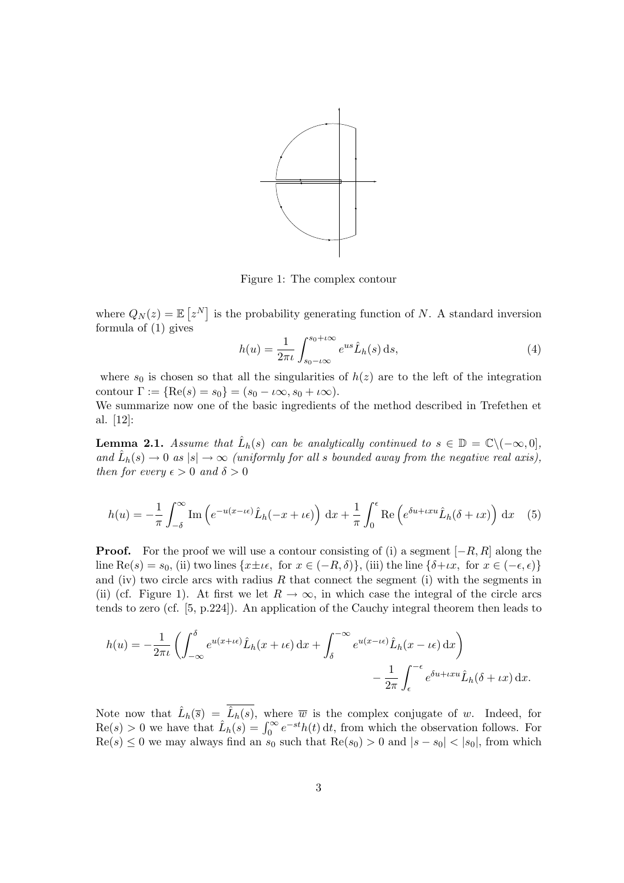

Figure 1: The complex contour

where  $Q_N(z) = \mathbb{E}$ £  $z^N$ is the probability generating function of  $N$ . A standard inversion formula of (1) gives

$$
h(u) = \frac{1}{2\pi\iota} \int_{s_0 - \iota\infty}^{s_0 + \iota\infty} e^{us} \hat{L}_h(s) \,ds,\tag{4}
$$

where  $s_0$  is chosen so that all the singularities of  $h(z)$  are to the left of the integration contour  $\Gamma := \{ \text{Re}(s) = s_0 \} = (s_0 - \iota \infty, s_0 + \iota \infty).$ 

We summarize now one of the basic ingredients of the method described in Trefethen et al. [12]:

**Lemma 2.1.** Assume that  $\hat{L}_h(s)$  can be analytically continued to  $s \in \mathbb{D} = \mathbb{C} \setminus (-\infty, 0],$ and  $\hat{L}_h(s) \to 0$  as  $|s| \to \infty$  (uniformly for all s bounded away from the negative real axis), then for every  $\epsilon > 0$  and  $\delta > 0$ 

$$
h(u) = -\frac{1}{\pi} \int_{-\delta}^{\infty} \text{Im}\left(e^{-u(x-\iota\epsilon)}\hat{L}_h(-x+\iota\epsilon)\right) dx + \frac{1}{\pi} \int_{0}^{\epsilon} \text{Re}\left(e^{\delta u + \iota x u}\hat{L}_h(\delta + \iota x)\right) dx \quad (5)
$$

**Proof.** For the proof we will use a contour consisting of (i) a segment  $[-R, R]$  along the line Re(s) = s<sub>0</sub>, (ii) two lines { $x \pm \iota \epsilon$ , for  $x \in (-R, \delta)$ }, (iii) the line { $\delta + \iota x$ , for  $x \in (-\epsilon, \epsilon)$ } and (iv) two circle arcs with radius  $R$  that connect the segment (i) with the segments in (ii) (cf. Figure 1). At first we let  $R \to \infty$ , in which case the integral of the circle arcs tends to zero (cf. [5, p.224]). An application of the Cauchy integral theorem then leads to

$$
h(u) = -\frac{1}{2\pi\iota} \left( \int_{-\infty}^{\delta} e^{u(x+\iota\epsilon)} \hat{L}_h(x+\iota\epsilon) dx + \int_{\delta}^{-\infty} e^{u(x-\iota\epsilon)} \hat{L}_h(x-\iota\epsilon) dx \right) - \frac{1}{2\pi} \int_{\epsilon}^{-\epsilon} e^{\delta u + \iota x u} \hat{L}_h(\delta + \iota x) dx.
$$

Note now that  $\hat{L}_h(\bar{s}) = \hat{L}_h(s)$ , where  $\bar{w}$  is the complex conjugate of w. Indeed, for Note now that  $L_h(s) = L_h(s)$ , where w is the complex conjugate of w. Indeed, for  $\text{Re}(s) > 0$  we have that  $\hat{L}_h(s) = \int_0^\infty e^{-st} h(t) dt$ , from which the observation follows. For  $\text{Re}(s) \leq 0$  we may always find an  $s_0$  such that  $\text{Re}(s_0) > 0$  and  $|s - s_0| < |s_0|$ , from which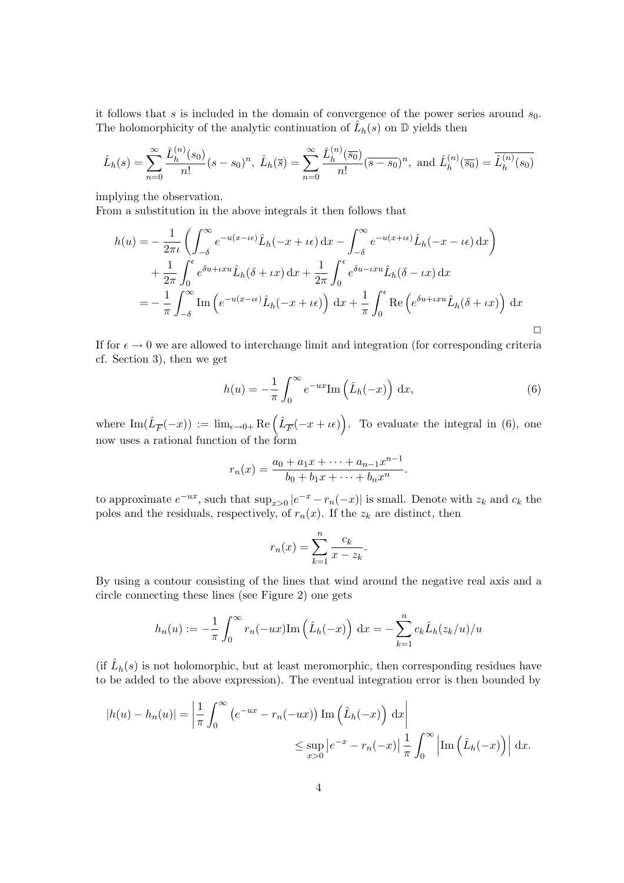it follows that s is included in the domain of convergence of the power series around  $s_0$ . The holomorphicity of the analytic continuation of  $\tilde{L}_h(s)$  on  $\mathbb D$  yields then

$$
\hat{L}_h(s) = \sum_{n=0}^{\infty} \frac{\hat{L}_h^{(n)}(s_0)}{n!} (s - s_0)^n, \ \hat{L}_h(\overline{s}) = \sum_{n=0}^{\infty} \frac{\hat{L}_h^{(n)}(\overline{s_0})}{n!} (\overline{s - s_0})^n, \text{ and } \hat{L}_h^{(n)}(\overline{s_0}) = \overline{\hat{L}_h^{(n)}(s_0)}
$$

implying the observation.

From a substitution in the above integrals it then follows that

$$
h(u) = -\frac{1}{2\pi\iota} \left( \int_{-\delta}^{\infty} e^{-u(x-\iota\epsilon)} \hat{L}_h(-x+\iota\epsilon) dx - \int_{-\delta}^{\infty} e^{-u(x+\iota\epsilon)} \hat{L}_h(-x-\iota\epsilon) dx \right)
$$
  
+ 
$$
\frac{1}{2\pi} \int_{0}^{\epsilon} e^{\delta u + \iota x u} \hat{L}_h(\delta + \iota x) dx + \frac{1}{2\pi} \int_{0}^{\epsilon} e^{\delta u - \iota x u} \hat{L}_h(\delta - \iota x) dx
$$
  
= 
$$
- \frac{1}{\pi} \int_{-\delta}^{\infty} \text{Im} \left( e^{-u(x-\iota\epsilon)} \hat{L}_h(-x+\iota\epsilon) \right) dx + \frac{1}{\pi} \int_{0}^{\epsilon} \text{Re} \left( e^{\delta u + \iota x u} \hat{L}_h(\delta + \iota x) \right) dx
$$

If for  $\epsilon \to 0$  we are allowed to interchange limit and integration (for corresponding criteria cf. Section 3), then we get

$$
h(u) = -\frac{1}{\pi} \int_0^\infty e^{-ux} \text{Im}\left(\hat{L}_h(-x)\right) \, \mathrm{d}x,\tag{6}
$$

where  $\text{Im}(\hat{L}_{\overline{F}}(-x)) := \lim_{\epsilon \to 0+} \text{Re}(\hat{L}_{\overline{F}}(-x + \iota \epsilon))$ . To evaluate the integral in (6), one now uses a rational function of the form

$$
r_n(x) = \frac{a_0 + a_1x + \dots + a_{n-1}x^{n-1}}{b_0 + b_1x + \dots + b_nx^n}.
$$

to approximate  $e^{-ux}$ , such that  $\sup_{x>0} |e^{-x} - r_n(-x)|$  is small. Denote with  $z_k$  and  $c_k$  the poles and the residuals, respectively, of  $r_n(x)$ . If the  $z_k$  are distinct, then

$$
r_n(x) = \sum_{k=1}^n \frac{c_k}{x - z_k}.
$$

By using a contour consisting of the lines that wind around the negative real axis and a circle connecting these lines (see Figure 2) one gets

$$
h_n(u) := -\frac{1}{\pi} \int_0^{\infty} r_n(-ux) \mathrm{Im} \left( \hat{L}_h(-x) \right) dx = -\sum_{k=1}^n c_k \hat{L}_h(z_k/u) / u
$$

(if  $\hat{L}_h(s)$  is not holomorphic, but at least meromorphic, then corresponding residues have to be added to the above expression). The eventual integration error is then bounded by

$$
|h(u) - h_n(u)| = \left| \frac{1}{\pi} \int_0^\infty \left( e^{-ux} - r_n(-ux) \right) \operatorname{Im} \left( \hat{L}_h(-x) \right) dx \right|
$$
  

$$
\leq \sup_{x>0} \left| e^{-x} - r_n(-x) \right| \frac{1}{\pi} \int_0^\infty \left| \operatorname{Im} \left( \hat{L}_h(-x) \right) \right| dx.
$$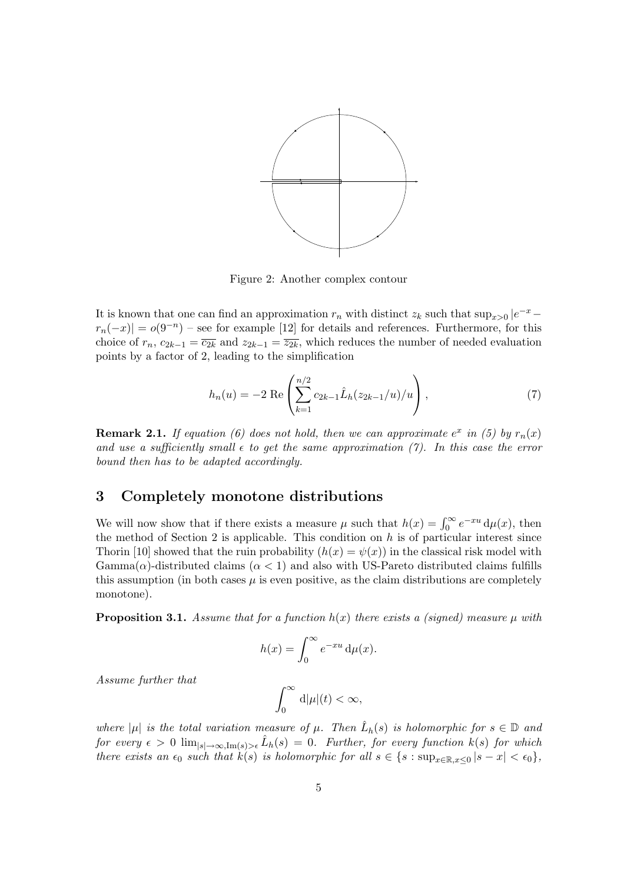

Figure 2: Another complex contour

It is known that one can find an approximation  $r_n$  with distinct  $z_k$  such that  $\sup_{x>0} |e^{-x} |r_n(-x)| = o(9^{-n})$  – see for example [12] for details and references. Furthermore, for this choice of  $r_n$ ,  $c_{2k-1} = \overline{c_{2k}}$  and  $z_{2k-1} = \overline{z_{2k}}$ , which reduces the number of needed evaluation points by a factor of 2, leading to the simplification

$$
h_n(u) = -2 \operatorname{Re} \left( \sum_{k=1}^{n/2} c_{2k-1} \hat{L}_h(z_{2k-1}/u)/u \right), \tag{7}
$$

**Remark 2.1.** If equation (6) does not hold, then we can approximate  $e^x$  in (5) by  $r_n(x)$ and use a sufficiently small  $\epsilon$  to get the same approximation (7). In this case the error bound then has to be adapted accordingly.

# 3 Completely monotone distributions

We will now show that if there exists a measure  $\mu$  such that  $h(x) = \int_0^\infty e^{-xu} d\mu(x)$ , then the method of Section 2 is applicable. This condition on  $h$  is of particular interest since Thorin [10] showed that the ruin probability  $(h(x) = \psi(x))$  in the classical risk model with  $Gamma(\alpha)$ -distributed claims ( $\alpha$  < 1) and also with US-Pareto distributed claims fulfills this assumption (in both cases  $\mu$  is even positive, as the claim distributions are completely monotone).

**Proposition 3.1.** Assume that for a function  $h(x)$  there exists a (signed) measure  $\mu$  with

$$
h(x) = \int_0^\infty e^{-xu} \, \mathrm{d}\mu(x).
$$

Assume further that

$$
\int_0^\infty \mathrm{d}|\mu|(t) < \infty,
$$

where  $|\mu|$  is the total variation measure of  $\mu$ . Then  $\hat{L}_h(s)$  is holomorphic for  $s \in \mathbb{D}$  and for every  $\epsilon > 0$   $\lim_{|s| \to \infty, \text{Im}(s) > \epsilon} \hat{L}_h(s) = 0$ . Further, for every function  $k(s)$  for which there exists an  $\epsilon_0$  such that  $k(s)$  is holomorphic for all  $s \in \{s : \sup_{x \in \mathbb{R}, x \le 0} |s - x| < \epsilon_0\},$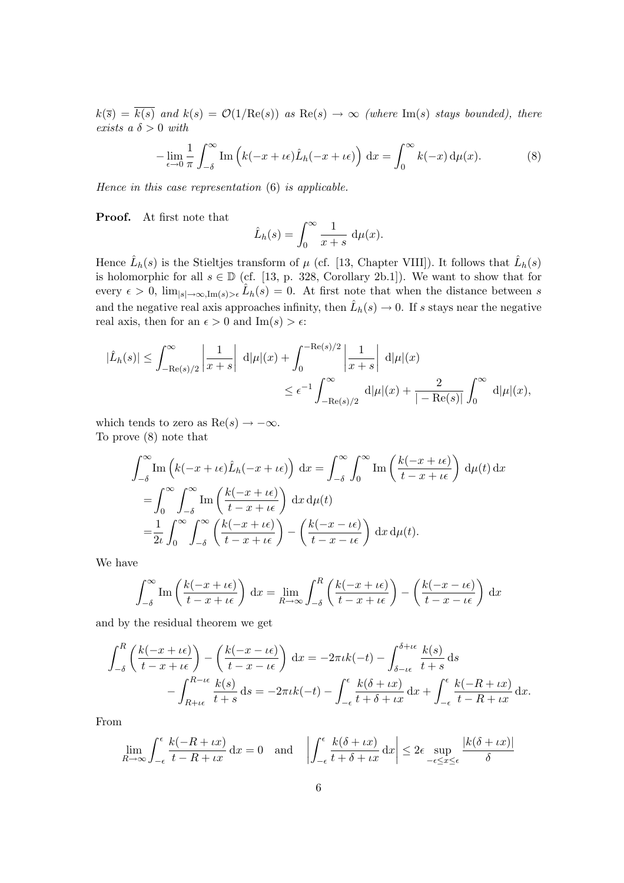$k(\bar{s}) = \bar{k}(s)$  and  $k(s) = \mathcal{O}(1/\text{Re}(s))$  as  $\text{Re}(s) \to \infty$  (where Im(s) stays bounded), there exists a  $\delta > 0$  with

$$
-\lim_{\epsilon \to 0} \frac{1}{\pi} \int_{-\delta}^{\infty} \text{Im}\left(k(-x + \iota\epsilon)\hat{L}_h(-x + \iota\epsilon)\right) dx = \int_{0}^{\infty} k(-x) d\mu(x).
$$
 (8)

Hence in this case representation (6) is applicable.

Proof. At first note that

$$
\hat{L}_h(s) = \int_0^\infty \frac{1}{x+s} \, \mathrm{d}\mu(x).
$$

Hence  $\hat{L}_h(s)$  is the Stieltjes transform of  $\mu$  (cf. [13, Chapter VIII]). It follows that  $\hat{L}_h(s)$ is holomorphic for all  $s \in \mathbb{D}$  (cf. [13, p. 328, Corollary 2b.1]). We want to show that for every  $\epsilon > 0$ ,  $\lim_{|s| \to \infty, \text{Im}(s) > \epsilon} \hat{L}_h(s) = 0$ . At first note that when the distance between s and the negative real axis approaches infinity, then  $\hat{L}_h(s) \to 0$ . If s stays near the negative real axis, then for an  $\epsilon > 0$  and  $\text{Im}(s) > \epsilon$ :

$$
|\hat{L}_h(s)| \le \int_{-\text{Re}(s)/2}^{\infty} \left| \frac{1}{x+s} \right| d|\mu|(x) + \int_0^{-\text{Re}(s)/2} \left| \frac{1}{x+s} \right| d|\mu|(x) \n\le \epsilon^{-1} \int_{-\text{Re}(s)/2}^{\infty} d|\mu|(x) + \frac{2}{|- \text{Re}(s)|} \int_0^{\infty} d|\mu|(x),
$$

which tends to zero as  $\text{Re}(s) \rightarrow -\infty$ . To prove (8) note that

$$
\int_{-\delta}^{\infty} \text{Im}\left(k(-x+\iota\epsilon)\hat{L}_h(-x+\iota\epsilon)\right) dx = \int_{-\delta}^{\infty} \int_{0}^{\infty} \text{Im}\left(\frac{k(-x+\iota\epsilon)}{t-x+\iota\epsilon}\right) d\mu(t) dx
$$
  
= 
$$
\int_{0}^{\infty} \int_{-\delta}^{\infty} \text{Im}\left(\frac{k(-x+\iota\epsilon)}{t-x+\iota\epsilon}\right) dx d\mu(t)
$$
  
= 
$$
\frac{1}{2\iota} \int_{0}^{\infty} \int_{-\delta}^{\infty} \left(\frac{k(-x+\iota\epsilon)}{t-x+\iota\epsilon}\right) - \left(\frac{k(-x-\iota\epsilon)}{t-x-\iota\epsilon}\right) dx d\mu(t).
$$

We have

$$
\int_{-\delta}^{\infty} \operatorname{Im}\left(\frac{k(-x+\iota\epsilon)}{t-x+\iota\epsilon}\right) dx = \lim_{R \to \infty} \int_{-\delta}^{R} \left(\frac{k(-x+\iota\epsilon)}{t-x+\iota\epsilon}\right) - \left(\frac{k(-x-\iota\epsilon)}{t-x-\iota\epsilon}\right) dx
$$

and by the residual theorem we get

$$
\int_{-\delta}^{R} \left( \frac{k(-x+\iota\epsilon)}{t-x+\iota\epsilon} \right) - \left( \frac{k(-x-\iota\epsilon)}{t-x-\iota\epsilon} \right) dx = -2\pi i k(-t) - \int_{\delta-\iota\epsilon}^{\delta+\iota\epsilon} \frac{k(s)}{t+s} ds \n- \int_{R+\iota\epsilon}^{R-\iota\epsilon} \frac{k(s)}{t+s} ds = -2\pi i k(-t) - \int_{-\epsilon}^{\epsilon} \frac{k(\delta+\iota x)}{t+\delta+\iota x} dx + \int_{-\epsilon}^{\epsilon} \frac{k(-R+\iota x)}{t-R+\iota x} dx.
$$

From

$$
\lim_{R \to \infty} \int_{-\epsilon}^{\epsilon} \frac{k(-R + \iota x)}{t - R + \iota x} dx = 0 \quad \text{and} \quad \left| \int_{-\epsilon}^{\epsilon} \frac{k(\delta + \iota x)}{t + \delta + \iota x} dx \right| \le 2\epsilon \sup_{-\epsilon \le x \le \epsilon} \frac{|k(\delta + \iota x)|}{\delta}
$$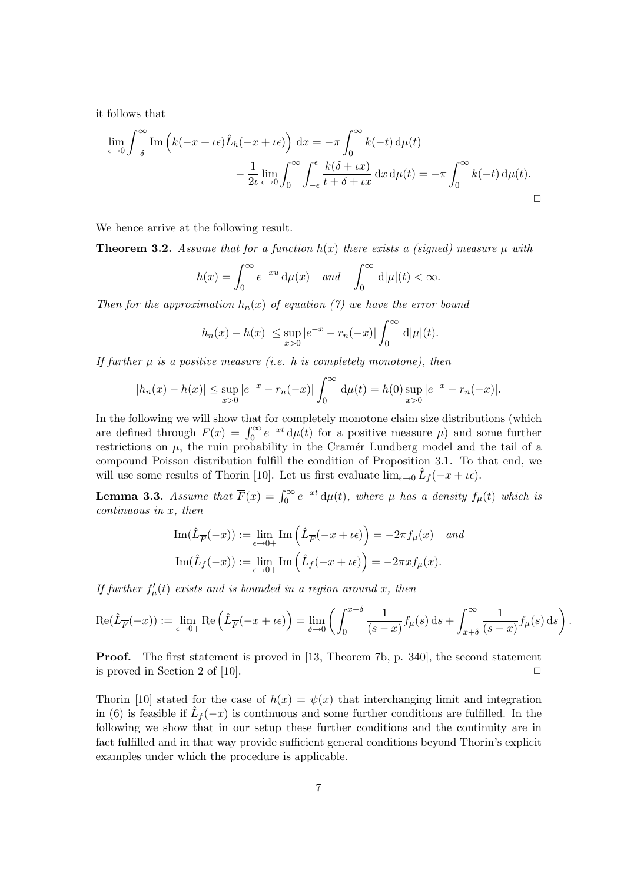it follows that

$$
\lim_{\epsilon \to 0} \int_{-\delta}^{\infty} \text{Im} \left( k(-x + \iota \epsilon) \hat{L}_h(-x + \iota \epsilon) \right) dx = -\pi \int_0^{\infty} k(-t) d\mu(t)
$$

$$
- \frac{1}{2\iota} \lim_{\epsilon \to 0} \int_0^{\infty} \int_{-\epsilon}^{\epsilon} \frac{k(\delta + \iota x)}{t + \delta + \iota x} dx d\mu(t) = -\pi \int_0^{\infty} k(-t) d\mu(t).
$$

We hence arrive at the following result.

**Theorem 3.2.** Assume that for a function  $h(x)$  there exists a (signed) measure  $\mu$  with

$$
h(x) = \int_0^\infty e^{-xu} \, \mathrm{d}\mu(x) \quad \text{and} \quad \int_0^\infty \, \mathrm{d}|\mu|(t) < \infty.
$$

Then for the approximation  $h_n(x)$  of equation (7) we have the error bound

$$
|h_n(x) - h(x)| \le \sup_{x>0} |e^{-x} - r_n(-x)| \int_0^\infty d|\mu|(t).
$$

If further  $\mu$  is a positive measure (i.e. h is completely monotone), then

$$
|h_n(x) - h(x)| \le \sup_{x>0} |e^{-x} - r_n(-x)| \int_0^\infty d\mu(t) = h(0) \sup_{x>0} |e^{-x} - r_n(-x)|.
$$

In the following we will show that for completely monotone claim size distributions (which in the following we will show that for completely monotone claim size distributions (which<br>are defined through  $\overline{F}(x) = \int_0^\infty e^{-xt} d\mu(t)$  for a positive measure  $\mu$ ) and some further restrictions on  $\mu$ , the ruin probability in the Cramér Lundberg model and the tail of a compound Poisson distribution fulfill the condition of Proposition 3.1. To that end, we will use some results of Thorin [10]. Let us first evaluate  $\lim_{\epsilon \to 0} \hat{L}_f(-x + i\epsilon)$ .

**Lemma 3.3.** Assume that  $\overline{F}(x) = \int_0^\infty e^{-xt} d\mu(t)$ , where  $\mu$  has a density  $f_\mu(t)$  which is continuous in x, then ´

$$
\operatorname{Im}(\hat{L}_{\overline{F}}(-x)) := \lim_{\epsilon \to 0+} \operatorname{Im}(\hat{L}_{\overline{F}}(-x + \iota \epsilon)) = -2\pi f_{\mu}(x) \quad and
$$
  

$$
\operatorname{Im}(\hat{L}_f(-x)) := \lim_{\epsilon \to 0+} \operatorname{Im}(\hat{L}_f(-x + \iota \epsilon)) = -2\pi x f_{\mu}(x).
$$

If further  $f'_{\mu}(t)$  exists and is bounded in a region around x, then

$$
\operatorname{Re}(\hat{L}_{\overline{F}}(-x)) := \lim_{\epsilon \to 0+} \operatorname{Re}\left(\hat{L}_{\overline{F}}(-x+\iota\epsilon)\right) = \lim_{\delta \to 0} \left(\int_0^{x-\delta} \frac{1}{(s-x)} f_{\mu}(s) \,ds + \int_{x+\delta}^{\infty} \frac{1}{(s-x)} f_{\mu}(s) \,ds\right)
$$

.

Proof. The first statement is proved in [13, Theorem 7b, p. 340], the second statement is proved in Section 2 of [10].  $\Box$ 

Thorin [10] stated for the case of  $h(x) = \psi(x)$  that interchanging limit and integration in (6) is feasible if  $\hat{L}_f(-x)$  is continuous and some further conditions are fulfilled. In the following we show that in our setup these further conditions and the continuity are in fact fulfilled and in that way provide sufficient general conditions beyond Thorin's explicit examples under which the procedure is applicable.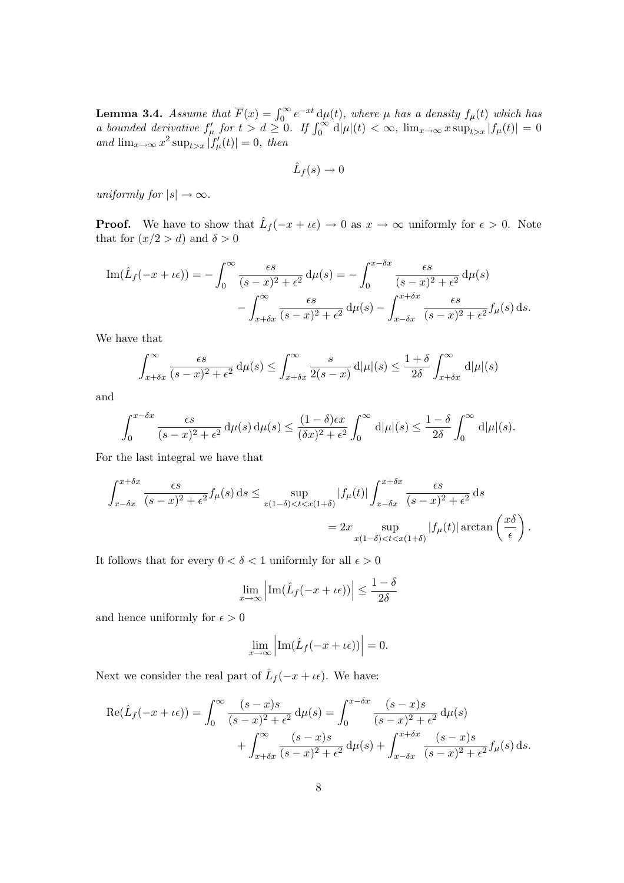**Lemma 3.4.** Assume that  $\overline{F}(x) = \int_0^\infty e^{-xt} d\mu(t)$ , where  $\mu$  has a density  $f_\mu(t)$  which has **Lemma 3.4.** Assume that  $F(x) = \int_0^{\infty} e^{-x} d\mu(t)$ , where  $\mu$  has a density  $\int_{\mu}(t)$  which has a bounded derivative  $\int_{\mu}$  for  $t > d \ge 0$ . If  $\int_0^{\infty} d|\mu|(t) < \infty$ ,  $\lim_{x \to \infty} x \sup_{t > x} |f_{\mu}(t)| = 0$ and  $\lim_{x\to\infty} x^2 \sup_{t>x} |f'_{\mu}(t)| = 0$ , then

$$
\hat{L}_f(s) \to 0
$$

uniformly for  $|s| \to \infty$ .

**Proof.** We have to show that  $\hat{L}_f(-x + \iota \epsilon) \to 0$  as  $x \to \infty$  uniformly for  $\epsilon > 0$ . Note that for  $(x/2 > d)$  and  $\delta > 0$ 

$$
\operatorname{Im}(\hat{L}_f(-x+\iota\epsilon)) = -\int_0^\infty \frac{\epsilon s}{(s-x)^2 + \epsilon^2} d\mu(s) = -\int_0^{x-\delta x} \frac{\epsilon s}{(s-x)^2 + \epsilon^2} d\mu(s) - \int_{x+\delta x}^\infty \frac{\epsilon s}{(s-x)^2 + \epsilon^2} d\mu(s) - \int_{x-\delta x}^{x+\delta x} \frac{\epsilon s}{(s-x)^2 + \epsilon^2} f_\mu(s) ds.
$$

We have that

$$
\int_{x+\delta x}^{\infty} \frac{\epsilon s}{(s-x)^2 + \epsilon^2} d\mu(s) \le \int_{x+\delta x}^{\infty} \frac{s}{2(s-x)} d\mu(s) \le \frac{1+\delta}{2\delta} \int_{x+\delta x}^{\infty} d\mu(s)
$$

and

$$
\int_0^{x-\delta x}\frac{\epsilon s}{(s-x)^2+\epsilon^2}\,\mathrm{d}\mu(s)\,\mathrm{d}\mu(s)\leq \frac{(1-\delta)\epsilon x}{(\delta x)^2+\epsilon^2}\int_0^\infty\,\mathrm{d}|\mu|(s)\leq \frac{1-\delta}{2\delta}\int_0^\infty\,\mathrm{d}|\mu|(s).
$$

For the last integral we have that

$$
\int_{x-\delta x}^{x+\delta x} \frac{\epsilon s}{(s-x)^2 + \epsilon^2} f_{\mu}(s) ds \le \sup_{x(1-\delta) < t < x(1+\delta) \le x \le x(1+\delta)} |f_{\mu}(t)| \int_{x-\delta x}^{x+\delta x} \frac{\epsilon s}{(s-x)^2 + \epsilon^2} ds
$$
\n
$$
= 2x \sup_{x(1-\delta) < t < x(1+\delta) \le x \le x(1+\delta)} |f_{\mu}(t)| \arctan\left(\frac{x\delta}{\epsilon}\right).
$$

It follows that for every  $0 < \delta < 1$  uniformly for all  $\epsilon > 0$ 

$$
\lim_{x \to \infty} \left| \text{Im}(\hat{L}_f(-x + \iota \epsilon)) \right| \le \frac{1 - \delta}{2\delta}
$$

and hence uniformly for  $\epsilon > 0$ 

$$
\lim_{x \to \infty} \left| \text{Im}(\hat{L}_f(-x + \iota \epsilon)) \right| = 0.
$$

Next we consider the real part of  $\hat{L}_f(-x+\iota\epsilon)$ . We have:

$$
\operatorname{Re}(\hat{L}_f(-x+\iota\epsilon)) = \int_0^\infty \frac{(s-x)s}{(s-x)^2 + \epsilon^2} d\mu(s) = \int_0^{x-\delta x} \frac{(s-x)s}{(s-x)^2 + \epsilon^2} d\mu(s) + \int_{x+\delta x}^\infty \frac{(s-x)s}{(s-x)^2 + \epsilon^2} d\mu(s) + \int_{x-\delta x}^{x+\delta x} \frac{(s-x)s}{(s-x)^2 + \epsilon^2} f_\mu(s) ds.
$$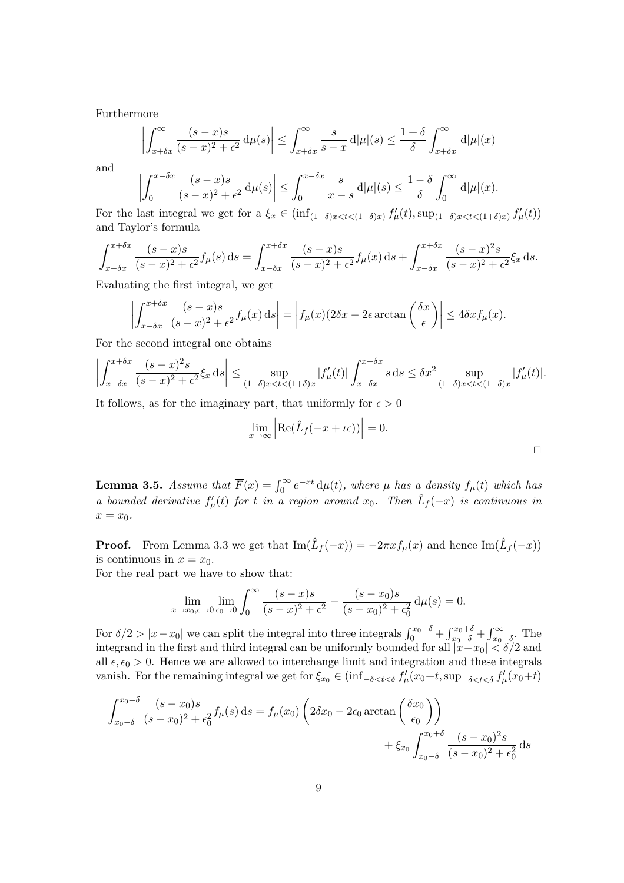Furthermore ¯

$$
\left| \int_{x+\delta x}^{\infty} \frac{(s-x)s}{(s-x)^2 + \epsilon^2} d\mu(s) \right| \leq \int_{x+\delta x}^{\infty} \frac{s}{s-x} d|\mu|(s) \leq \frac{1+\delta}{\delta} \int_{x+\delta x}^{\infty} d|\mu|(x)
$$

and

$$
\left| \int_0^{x - \delta x} \frac{(s - x)s}{(s - x)^2 + \epsilon^2} d\mu(s) \right| \le \int_0^{x - \delta x} \frac{s}{x - s} d|\mu|(s) \le \frac{1 - \delta}{\delta} \int_0^{\infty} d|\mu|(x).
$$

For the last integral we get for a  $\xi_x \in (\inf_{(1-\delta)x < t < (1+\delta)x} f'_{\mu}(t), \sup_{(1-\delta)x < t < (1+\delta)x} f'_{\mu}(t))$ and Taylor's formula

$$
\int_{x-\delta x}^{x+\delta x} \frac{(s-x)s}{(s-x)^2 + \epsilon^2} f_{\mu}(s) ds = \int_{x-\delta x}^{x+\delta x} \frac{(s-x)s}{(s-x)^2 + \epsilon^2} f_{\mu}(x) ds + \int_{x-\delta x}^{x+\delta x} \frac{(s-x)^2 s}{(s-x)^2 + \epsilon^2} \xi_x ds.
$$

Evaluating the first integral, we get

$$
\left| \int_{x-\delta x}^{x+\delta x} \frac{(s-x)s}{(s-x)^2 + \epsilon^2} f_{\mu}(x) ds \right| = \left| f_{\mu}(x) (2\delta x - 2\epsilon \arctan \left( \frac{\delta x}{\epsilon} \right) \right| \le 4\delta x f_{\mu}(x).
$$

For the second integral one obtains

$$
\left| \int_{x-\delta x}^{x+\delta x} \frac{(s-x)^2 s}{(s-x)^2 + \epsilon^2} \xi_x ds \right| \le \sup_{(1-\delta)x < t < (1+\delta)x} |f'_{\mu}(t)| \int_{x-\delta x}^{x+\delta x} s ds \le \delta x^2 \sup_{(1-\delta)x < t < (1+\delta)x} |f'_{\mu}(t)|.
$$

It follows, as for the imaginary part, that uniformly for  $\epsilon > 0$ 

$$
\lim_{x \to \infty} \left| \text{Re}(\hat{L}_f(-x + \iota \epsilon)) \right| = 0.
$$

**Lemma 3.5.** Assume that  $\overline{F}(x) = \int_0^\infty e^{-xt} d\mu(t)$ , where  $\mu$  has a density  $f_\mu(t)$  which has a bounded derivative  $f'_{\mu}(t)$  for t in a region around  $x_0$ . Then  $\hat{L}_f(-x)$  is continuous in  $x = x_0$ .

**Proof.** From Lemma 3.3 we get that  $\text{Im}(\hat{L}_f(-x)) = -2\pi x f_\mu(x)$  and hence  $\text{Im}(\hat{L}_f(-x))$ is continuous in  $x = x_0$ .

For the real part we have to show that:

$$
\lim_{x \to x_0, \epsilon \to 0} \lim_{\epsilon_0 \to 0} \int_0^\infty \frac{(s-x)s}{(s-x)^2 + \epsilon^2} - \frac{(s-x_0)s}{(s-x_0)^2 + \epsilon_0^2} d\mu(s) = 0.
$$

For  $\delta/2 > |x - x_0|$  we can split the integral into three integrals  $\int_0^{x_0 - \delta} +$  $\int x_0+\delta$  $x_0$ + $\sigma$ <sub>0</sub> +  $r^{\infty}$  $\sum_{x_0-\delta}^{\infty}$ . The integrand in the first and third integral can be uniformly bounded for all  $|x-x_0| < \delta/2$  and all  $\epsilon, \epsilon_0 > 0$ . Hence we are allowed to interchange limit and integration and these integrals vanish. For the remaining integral we get for  $\xi_{x_0} \in (\inf_{-\delta < t < \delta} f'_{\mu}(x_0 + t, \sup_{-\delta < t < \delta} f'_{\mu}(x_0 + t))$ 

$$
\int_{x_0-\delta}^{x_0+\delta} \frac{(s-x_0)s}{(s-x_0)^2 + \epsilon_0^2} f_\mu(s) ds = f_\mu(x_0) \left( 2\delta x_0 - 2\epsilon_0 \arctan\left(\frac{\delta x_0}{\epsilon_0}\right) \right) + \xi_{x_0} \int_{x_0-\delta}^{x_0+\delta} \frac{(s-x_0)^2 s}{(s-x_0)^2 + \epsilon_0^2} ds
$$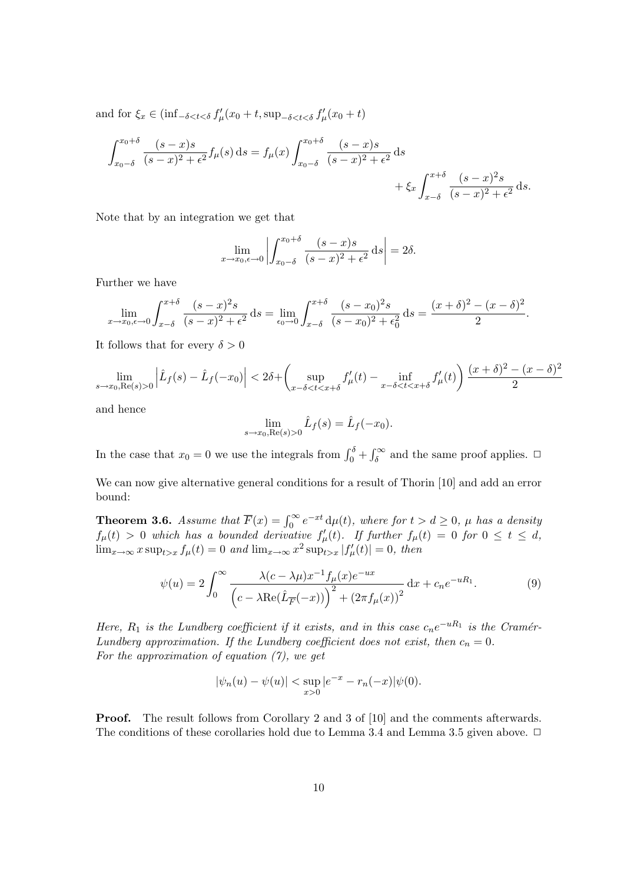and for  $\xi_x \in \left( \inf_{-\delta < t < \delta} f'_{\mu}(x_0 + t, \sup_{-\delta < t < \delta} f'_{\mu}(x_0 + t) \right)$ 

$$
\int_{x_0-\delta}^{x_0+\delta} \frac{(s-x)s}{(s-x)^2 + \epsilon^2} f_{\mu}(s) ds = f_{\mu}(x) \int_{x_0-\delta}^{x_0+\delta} \frac{(s-x)s}{(s-x)^2 + \epsilon^2} ds + \xi_x \int_{x-\delta}^{x+\delta} \frac{(s-x)^2 s}{(s-x)^2 + \epsilon^2} ds.
$$

Note that by an integration we get that

$$
\lim_{x \to x_0, \epsilon \to 0} \left| \int_{x_0 - \delta}^{x_0 + \delta} \frac{(s - x)s}{(s - x)^2 + \epsilon^2} ds \right| = 2\delta.
$$

Further we have

$$
\lim_{x \to x_0, \epsilon \to 0} \int_{x-\delta}^{x+\delta} \frac{(s-x)^2 s}{(s-x)^2 + \epsilon^2} ds = \lim_{\epsilon_0 \to 0} \int_{x-\delta}^{x+\delta} \frac{(s-x_0)^2 s}{(s-x_0)^2 + \epsilon_0^2} ds = \frac{(x+\delta)^2 - (x-\delta)^2}{2}.
$$

It follows that for every  $\delta > 0$ 

$$
\lim_{s \to x_0, \text{Re}(s) > 0} \left| \hat{L}_f(s) - \hat{L}_f(-x_0) \right| < 2\delta + \left( \sup_{x - \delta < t < x + \delta} f'_{\mu}(t) - \inf_{x - \delta < t < x + \delta} f'_{\mu}(t) \right) \frac{(x + \delta)^2 - (x - \delta)^2}{2}
$$

and hence

$$
\lim_{s \to x_0, \text{Re}(s) > 0} \hat{L}_f(s) = \hat{L}_f(-x_0).
$$

In the case that  $x_0 = 0$  we use the integrals from  $\int_0^{\delta} +$  $r^{\infty}$  $\delta^{\infty}$  and the same proof applies.  $\Box$ 

We can now give alternative general conditions for a result of Thorin [10] and add an error bound:

**Theorem 3.6.** Assume that  $\overline{F}(x) = \int_0^\infty e^{-xt} \, \mathrm{d}\mu(t)$ , where for  $t > d \geq 0$ ,  $\mu$  has a density  $f_{\mu}(t) > 0$  which has a bounded derivative  $f'_{\mu}(t)$ . If further  $f_{\mu}(t) = 0$  for  $0 \le t \le d$ ,  $\lim_{x\to\infty} x \sup_{t>x} f_\mu(t) = 0$  and  $\lim_{x\to\infty} x^2 \sup_{t>x} |f'_\mu(t)| = 0$ , then

$$
\psi(u) = 2 \int_0^\infty \frac{\lambda(c - \lambda \mu) x^{-1} f_\mu(x) e^{-ux}}{\left(c - \lambda \text{Re}(\hat{L}_{\overline{F}}(-x))\right)^2 + \left(2\pi f_\mu(x)\right)^2} dx + c_n e^{-uR_1}.
$$
\n(9)

Here,  $R_1$  is the Lundberg coefficient if it exists, and in this case  $c_ne^{-uR_1}$  is the Cramér-Lundberg approximation. If the Lundberg coefficient does not exist, then  $c_n = 0$ . For the approximation of equation  $(7)$ , we get

$$
|\psi_n(u) - \psi(u)| < \sup_{x > 0} |e^{-x} - r_n(-x)|\psi(0).
$$

Proof. The result follows from Corollary 2 and 3 of [10] and the comments afterwards. The conditions of these corollaries hold due to Lemma 3.4 and Lemma 3.5 given above.  $\Box$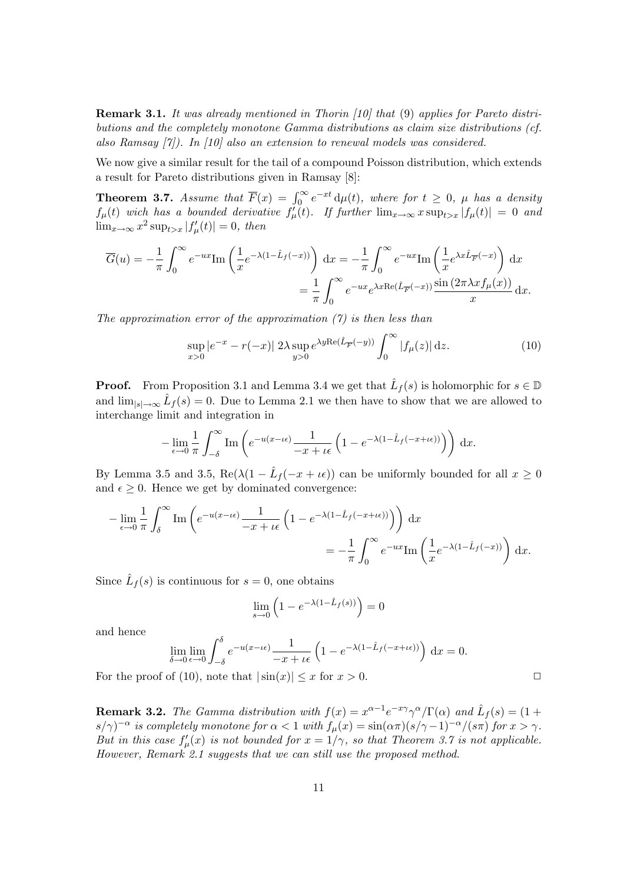**Remark 3.1.** It was already mentioned in Thorin [10] that (9) applies for Pareto distributions and the completely monotone Gamma distributions as claim size distributions (cf. also Ramsay [7]). In [10] also an extension to renewal models was considered.

We now give a similar result for the tail of a compound Poisson distribution, which extends a result for Pareto distributions given in Ramsay [8]:

**Theorem 3.7.** Assume that  $\overline{F}(x) = \int_0^\infty e^{-xt} \, \mathrm{d}\mu(t)$ , where for  $t \geq 0$ ,  $\mu$  has a density  $f_{\mu}(t)$  wich has a bounded derivative  $f'_{\mu}(t)$ . If further  $\lim_{x\to\infty}x \sup_{t>x}|f_{\mu}(t)| = 0$  and  $\lim_{x\to\infty} x^2 \sup_{t>x} |f'_{\mu}(t)| = 0$ , then

$$
\overline{G}(u) = -\frac{1}{\pi} \int_0^\infty e^{-ux} \text{Im} \left( \frac{1}{x} e^{-\lambda (1 - \hat{L}_f(-x))} \right) dx = -\frac{1}{\pi} \int_0^\infty e^{-ux} \text{Im} \left( \frac{1}{x} e^{\lambda x \hat{L}_{\overline{F}}(-x)} \right) dx
$$

$$
= \frac{1}{\pi} \int_0^\infty e^{-ux} e^{\lambda x \text{Re}(\hat{L}_{\overline{F}}(-x))} \frac{\sin(2\pi \lambda x f_\mu(x))}{x} dx.
$$

The approximation error of the approximation  $(7)$  is then less than

$$
\sup_{x>0} |e^{-x} - r(-x)| 2\lambda \sup_{y>0} e^{\lambda y \text{Re}(\hat{L}_F(-y))} \int_0^\infty |f_\mu(z)| dz.
$$
 (10)

**Proof.** From Proposition 3.1 and Lemma 3.4 we get that  $\hat{L}_f(s)$  is holomorphic for  $s \in \mathbb{D}$ and  $\lim_{|s|\to\infty} \hat{L}_f(s) = 0$ . Due to Lemma 2.1 we then have to show that we are allowed to interchange limit and integration in

$$
-\lim_{\epsilon \to 0} \frac{1}{\pi} \int_{-\delta}^{\infty} \text{Im} \left( e^{-u(x-\iota\epsilon)} \frac{1}{-x+\iota\epsilon} \left( 1 - e^{-\lambda(1-\hat{L}_f(-x+\iota\epsilon))} \right) \right) dx.
$$

By Lemma 3.5 and 3.5,  $\text{Re}(\lambda(1 - \hat{L}_f(-x + \iota\epsilon))$  can be uniformly bounded for all  $x \ge 0$ and  $\epsilon \geq 0$ . Hence we get by dominated convergence:

$$
-\lim_{\epsilon \to 0} \frac{1}{\pi} \int_{\delta}^{\infty} \text{Im} \left( e^{-u(x-\iota\epsilon)} \frac{1}{-x+\iota\epsilon} \left( 1 - e^{-\lambda(1-\hat{L}_f(-x+\iota\epsilon))} \right) \right) dx
$$
  
=  $-\frac{1}{\pi} \int_{0}^{\infty} e^{-ux} \text{Im} \left( \frac{1}{x} e^{-\lambda(1-\hat{L}_f(-x))} \right) dx.$ 

Since  $\hat{L}_f(s)$  is continuous for  $s = 0$ , one obtains

$$
\lim_{s \to 0} \left( 1 - e^{-\lambda (1 - \hat{L}_f(s))} \right) = 0
$$

and hence

$$
\lim_{\delta \to 0} \lim_{\epsilon \to 0} \int_{-\delta}^{\delta} e^{-u(x-\iota\epsilon)} \frac{1}{-x+\iota\epsilon} \left(1 - e^{-\lambda(1-\hat{L}_f(-x+\iota\epsilon))}\right) dx = 0.
$$

For the proof of (10), note that  $|\sin(x)| \le x$  for  $x > 0$ .

**Remark 3.2.** The Gamma distribution with  $f(x) = x^{\alpha-1}e^{-x\gamma}\gamma^{\alpha}/\Gamma(\alpha)$  and  $\hat{L}_f(s) = (1 +$  $s/\gamma$ <sup>- $\alpha$ </sup> is completely monotone for  $\alpha < 1$  with  $f_{\mu}(x) = \sin(\alpha \pi)(s/\gamma - 1)^{-\alpha}/(s\pi)$  for  $x > \gamma$ . But in this case  $f'_{\mu}(x)$  is not bounded for  $x = 1/\gamma$ , so that Theorem 3.7 is not applicable. However, Remark 2.1 suggests that we can still use the proposed method.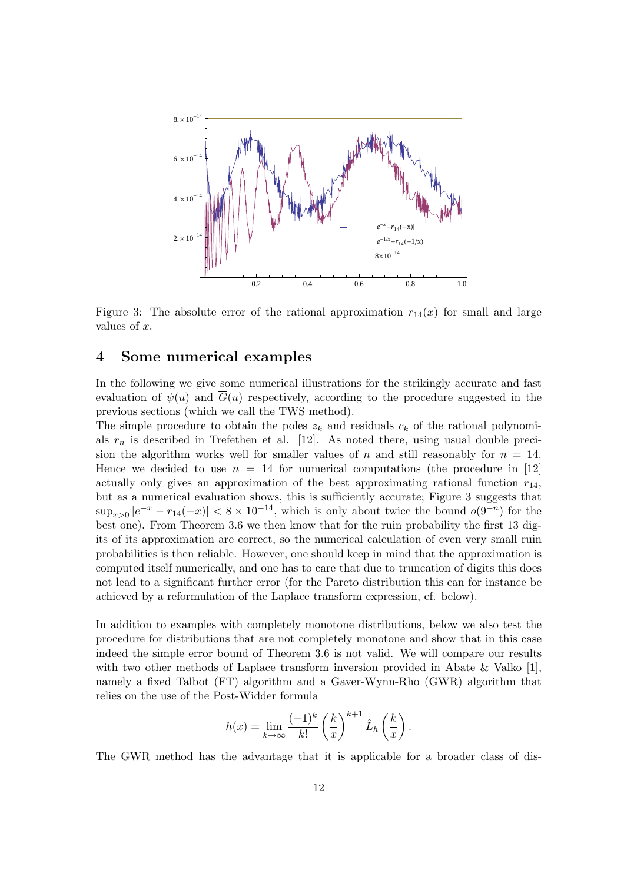

Figure 3: The absolute error of the rational approximation  $r_{14}(x)$  for small and large values of  $x$ .

## 4 Some numerical examples

In the following we give some numerical illustrations for the strikingly accurate and fast evaluation of  $\psi(u)$  and  $\overline{G}(u)$  respectively, according to the procedure suggested in the previous sections (which we call the TWS method).

The simple procedure to obtain the poles  $z_k$  and residuals  $c_k$  of the rational polynomials  $r_n$  is described in Trefethen et al. [12]. As noted there, using usual double precision the algorithm works well for smaller values of n and still reasonably for  $n = 14$ . Hence we decided to use  $n = 14$  for numerical computations (the procedure in [12] actually only gives an approximation of the best approximating rational function  $r_{14}$ , but as a numerical evaluation shows, this is sufficiently accurate; Figure 3 suggests that  $\sup_{x>0} |e^{-x} - r_{14}(-x)| < 8 \times 10^{-14}$ , which is only about twice the bound  $o(9^{-n})$  for the best one). From Theorem 3.6 we then know that for the ruin probability the first 13 digits of its approximation are correct, so the numerical calculation of even very small ruin probabilities is then reliable. However, one should keep in mind that the approximation is computed itself numerically, and one has to care that due to truncation of digits this does not lead to a significant further error (for the Pareto distribution this can for instance be achieved by a reformulation of the Laplace transform expression, cf. below).

In addition to examples with completely monotone distributions, below we also test the procedure for distributions that are not completely monotone and show that in this case indeed the simple error bound of Theorem 3.6 is not valid. We will compare our results with two other methods of Laplace transform inversion provided in Abate & Valko [1], namely a fixed Talbot (FT) algorithm and a Gaver-Wynn-Rho (GWR) algorithm that relies on the use of the Post-Widder formula

$$
h(x) = \lim_{k \to \infty} \frac{(-1)^k}{k!} \left(\frac{k}{x}\right)^{k+1} \hat{L}_h\left(\frac{k}{x}\right).
$$

The GWR method has the advantage that it is applicable for a broader class of dis-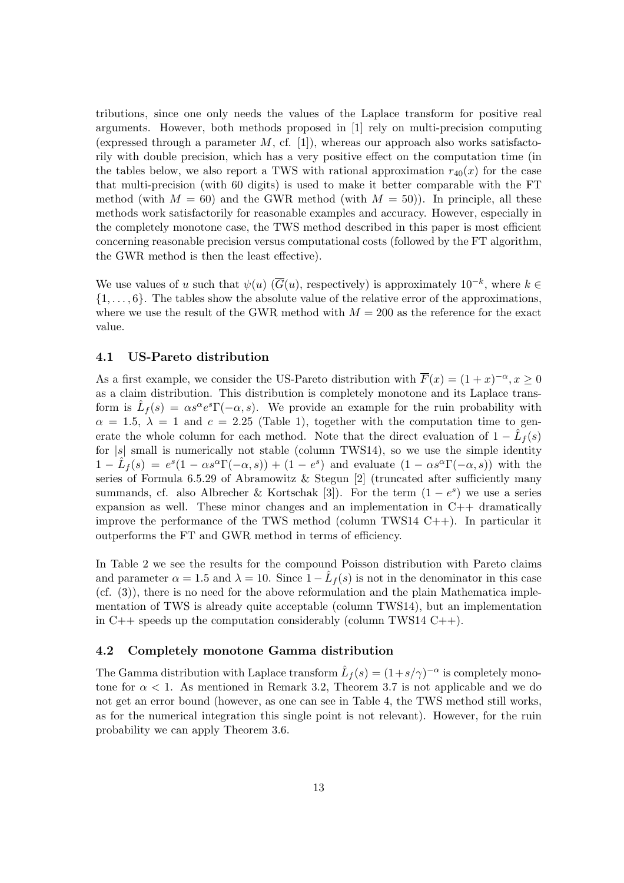tributions, since one only needs the values of the Laplace transform for positive real arguments. However, both methods proposed in [1] rely on multi-precision computing (expressed through a parameter  $M$ , cf. [1]), whereas our approach also works satisfactorily with double precision, which has a very positive effect on the computation time (in the tables below, we also report a TWS with rational approximation  $r_{40}(x)$  for the case that multi-precision (with 60 digits) is used to make it better comparable with the FT method (with  $M = 60$ ) and the GWR method (with  $M = 50$ )). In principle, all these methods work satisfactorily for reasonable examples and accuracy. However, especially in the completely monotone case, the TWS method described in this paper is most efficient concerning reasonable precision versus computational costs (followed by the FT algorithm, the GWR method is then the least effective).

We use values of u such that  $\psi(u)$  ( $\overline{G}(u)$ , respectively) is approximately  $10^{-k}$ , where  $k \in$  $\{1, \ldots, 6\}$ . The tables show the absolute value of the relative error of the approximations, where we use the result of the GWR method with  $M = 200$  as the reference for the exact value.

### 4.1 US-Pareto distribution

As a first example, we consider the US-Pareto distribution with  $\overline{F}(x) = (1+x)^{-\alpha}, x \ge 0$ as a claim distribution. This distribution is completely monotone and its Laplace transform is  $\hat{L}_f(s) = \alpha s^{\alpha} e^s \Gamma(-\alpha, s)$ . We provide an example for the ruin probability with  $\alpha = 1.5, \lambda = 1$  and  $c = 2.25$  (Table 1), together with the computation time to generate the whole column for each method. Note that the direct evaluation of  $1 - \hat{L}_f(s)$ for  $|s|$  small is numerically not stable (column TWS14), so we use the simple identity  $1 - \hat{L}_f(s) = e^s(1 - \alpha s^{\alpha}\Gamma(-\alpha, s)) + (1 - e^s)$  and evaluate  $(1 - \alpha s^{\alpha}\Gamma(-\alpha, s))$  with the series of Formula 6.5.29 of Abramowitz  $\&$  Stegun [2] (truncated after sufficiently many summands, cf. also Albrecher & Kortschak [3]). For the term  $(1 - e^s)$  we use a series expansion as well. These minor changes and an implementation in C++ dramatically improve the performance of the TWS method (column TWS14 C++). In particular it outperforms the FT and GWR method in terms of efficiency.

In Table 2 we see the results for the compound Poisson distribution with Pareto claims and parameter  $\alpha = 1.5$  and  $\lambda = 10$ . Since  $1 - \hat{L}_f(s)$  is not in the denominator in this case (cf. (3)), there is no need for the above reformulation and the plain Mathematica implementation of TWS is already quite acceptable (column TWS14), but an implementation in  $C++$  speeds up the computation considerably (column TWS14  $C++$ ).

### 4.2 Completely monotone Gamma distribution

The Gamma distribution with Laplace transform  $\hat{L}_f(s) = (1 + s/\gamma)^{-\alpha}$  is completely monotone for  $\alpha < 1$ . As mentioned in Remark 3.2, Theorem 3.7 is not applicable and we do not get an error bound (however, as one can see in Table 4, the TWS method still works, as for the numerical integration this single point is not relevant). However, for the ruin probability we can apply Theorem 3.6.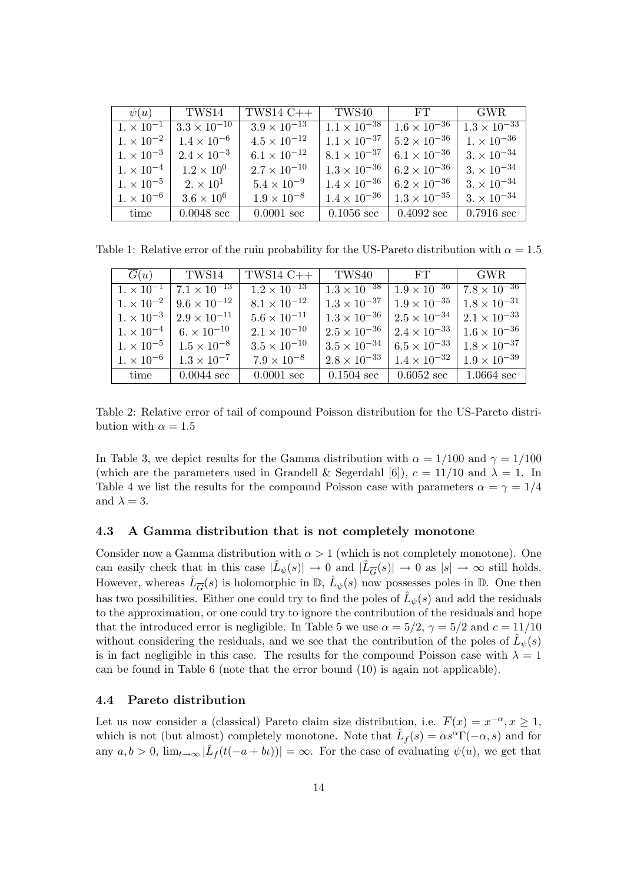| $\psi(u)$           | TWS14                 | TWS14 C++             | TWS40                 | <b>FT</b>             | GWR.                  |
|---------------------|-----------------------|-----------------------|-----------------------|-----------------------|-----------------------|
| $1. \times 10^{-1}$ | $3.3 \times 10^{-10}$ | $3.9 \times 10^{-13}$ | $1.1 \times 10^{-38}$ | $1.6 \times 10^{-36}$ | $1.3 \times 10^{-33}$ |
| $1. \times 10^{-2}$ | $1.4 \times 10^{-6}$  | $4.5 \times 10^{-12}$ | $1.1 \times 10^{-37}$ | $5.2 \times 10^{-36}$ | $1. \times 10^{-36}$  |
| $1. \times 10^{-3}$ | $2.4 \times 10^{-3}$  | $6.1 \times 10^{-12}$ | $8.1 \times 10^{-37}$ | $6.1 \times 10^{-36}$ | $3. \times 10^{-34}$  |
| $1. \times 10^{-4}$ | $1.2 \times 10^{0}$   | $2.7 \times 10^{-10}$ | $1.3 \times 10^{-36}$ | $6.2 \times 10^{-36}$ | $3. \times 10^{-34}$  |
| $1. \times 10^{-5}$ | $2. \times 10^1$      | $5.4 \times 10^{-9}$  | $1.4 \times 10^{-36}$ | $6.2 \times 10^{-36}$ | $3. \times 10^{-34}$  |
| $1. \times 10^{-6}$ | $3.6 \times 10^6$     | $1.9 \times 10^{-8}$  | $1.4 \times 10^{-36}$ | $1.3 \times 10^{-35}$ | $3. \times 10^{-34}$  |
| time                | $0.0048 \text{ sec}$  | $0.0001$ sec          | $0.1056$ sec          | $0.4092 \text{ sec}$  | $0.7916$ sec          |

Table 1: Relative error of the ruin probability for the US-Pareto distribution with  $\alpha = 1.5$ 

| G(u)                | TWS14                                       | $TWS14C++$            | TWS40                 | <b>FT</b>                        | <b>GWR</b>                       |
|---------------------|---------------------------------------------|-----------------------|-----------------------|----------------------------------|----------------------------------|
| $1. \times 10^{-1}$ | $7.1 \times 10^{-13}$                       | $1.2 \times 10^{-13}$ | $1.3 \times 10^{-38}$ | $1.9 \times \overline{10^{-36}}$ | $7.8 \times \overline{10^{-36}}$ |
| $1. \times 10^{-2}$ | $9.6 \times 10^{-12}$                       | $8.1 \times 10^{-12}$ | $1.3 \times 10^{-37}$ | $1.9 \times 10^{-35}$            | $1.8 \times 10^{-31}$            |
|                     | $1. \times 10^{-3}$   $2.9 \times 10^{-11}$ | $5.6 \times 10^{-11}$ | $1.3 \times 10^{-36}$ | $2.5 \times 10^{-34}$            | $2.1 \times 10^{-33}$            |
| $1. \times 10^{-4}$ | $6. \times 10^{-10}$                        | $2.1 \times 10^{-10}$ | $2.5 \times 10^{-36}$ | $2.4 \times 10^{-33}$            | $1.6 \times 10^{-36}$            |
| $1. \times 10^{-5}$ | $1.5 \times 10^{-8}$                        | $3.5 \times 10^{-10}$ | $3.5 \times 10^{-34}$ | $6.5 \times 10^{-33}$            | $1.8 \times 10^{-37}$            |
| $1. \times 10^{-6}$ | $1.3 \times 10^{-7}$                        | $7.9 \times 10^{-8}$  | $2.8 \times 10^{-33}$ | $1.4 \times 10^{-32}$            | $1.9 \times 10^{-39}$            |
| time                | $0.0044$ sec                                | $0.0001$ sec          | $0.1504 \text{ sec}$  | $0.6052$ sec                     | $1.0664$ sec                     |

Table 2: Relative error of tail of compound Poisson distribution for the US-Pareto distribution with  $\alpha = 1.5$ 

In Table 3, we depict results for the Gamma distribution with  $\alpha = 1/100$  and  $\gamma = 1/100$ (which are the parameters used in Grandell & Segerdahl [6]),  $c = 11/10$  and  $\lambda = 1$ . In Table 4 we list the results for the compound Poisson case with parameters  $\alpha = \gamma = 1/4$ and  $\lambda = 3$ .

### 4.3 A Gamma distribution that is not completely monotone

Consider now a Gamma distribution with  $\alpha > 1$  (which is not completely monotone). One can easily check that in this case  $|\hat{L}_{\psi}(s)| \to 0$  and  $|\hat{L}_{\overline{G}}(s)| \to 0$  as  $|s| \to \infty$  still holds. However, whereas  $\hat{L}_{\overline{G}}(s)$  is holomorphic in  $\mathbb{D}$ ,  $\hat{L}_{\psi}(s)$  now possesses poles in  $\mathbb{D}$ . One then has two possibilities. Either one could try to find the poles of  $\hat{L}_{\psi}(s)$  and add the residuals to the approximation, or one could try to ignore the contribution of the residuals and hope that the introduced error is negligible. In Table 5 we use  $\alpha = 5/2$ ,  $\gamma = 5/2$  and  $c = 11/10$ without considering the residuals, and we see that the contribution of the poles of  $\hat{L}_{\psi}(s)$ is in fact negligible in this case. The results for the compound Poisson case with  $\lambda = 1$ can be found in Table 6 (note that the error bound (10) is again not applicable).

### 4.4 Pareto distribution

Let us now consider a (classical) Pareto claim size distribution, i.e.  $\overline{F}(x) = x^{-\alpha}, x \ge 1$ , which is not (but almost) completely monotone. Note that  $\hat{L}_f(s) = \alpha s^{\alpha} \Gamma(-\alpha, s)$  and for any  $a, b > 0$ ,  $\lim_{t \to \infty} |\hat{L}_f(t(-a + bt))| = \infty$ . For the case of evaluating  $\psi(u)$ , we get that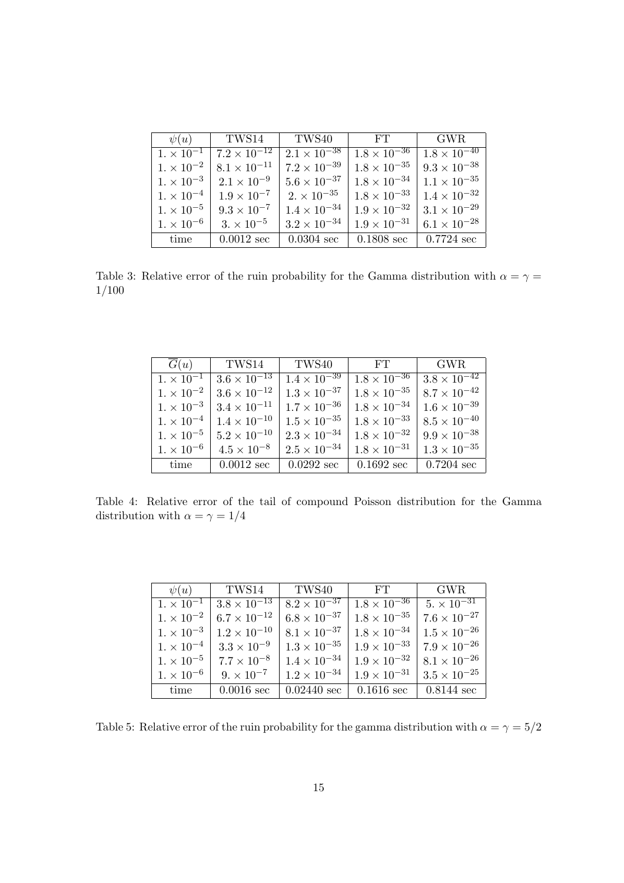| $\psi(u)$           | TWS14                                       | TWS40                 | FT                    | GWR.                  |
|---------------------|---------------------------------------------|-----------------------|-----------------------|-----------------------|
|                     | $1. \times 10^{-1}$   $7.2 \times 10^{-12}$ | $2.1 \times 10^{-38}$ | $1.8 \times 10^{-36}$ | $1.8 \times 10^{-40}$ |
| $1. \times 10^{-2}$ | $8.1 \times 10^{-11}$                       | $7.2 \times 10^{-39}$ | $1.8 \times 10^{-35}$ | $9.3 \times 10^{-38}$ |
| $1. \times 10^{-3}$ | $2.1 \times 10^{-9}$                        | $5.6 \times 10^{-37}$ | $1.8 \times 10^{-34}$ | $1.1 \times 10^{-35}$ |
| $1. \times 10^{-4}$ | $1.9 \times 10^{-7}$                        | $2. \times 10^{-35}$  | $1.8 \times 10^{-33}$ | $1.4 \times 10^{-32}$ |
| $1. \times 10^{-5}$ | $9.3 \times 10^{-7}$                        | $1.4 \times 10^{-34}$ | $1.9 \times 10^{-32}$ | $3.1 \times 10^{-29}$ |
| $1. \times 10^{-6}$ | $3. \times 10^{-5}$                         | $3.2 \times 10^{-34}$ | $1.9 \times 10^{-31}$ | $6.1 \times 10^{-28}$ |
| time                | $0.0012$ sec                                | $0.0304 \text{ sec}$  | $0.1808$ sec          | $0.7724 \text{ sec}$  |

Table 3: Relative error of the ruin probability for the Gamma distribution with  $\alpha = \gamma =$ /100

| G(u)                | TWS14                 | TWS40                 | FT                               | GWR.                  |
|---------------------|-----------------------|-----------------------|----------------------------------|-----------------------|
| $1. \times 10^{-1}$ | $3.6 \times 10^{-13}$ | $1.4 \times 10^{-39}$ | $1.8 \times \overline{10^{-36}}$ | $3.8 \times 10^{-42}$ |
| $1. \times 10^{-2}$ | $3.6 \times 10^{-12}$ | $1.3 \times 10^{-37}$ | $1.8 \times 10^{-35}$            | $8.7 \times 10^{-42}$ |
| $1. \times 10^{-3}$ | $3.4 \times 10^{-11}$ | $1.7 \times 10^{-36}$ | $1.8 \times 10^{-34}$            | $1.6 \times 10^{-39}$ |
| $1. \times 10^{-4}$ | $1.4 \times 10^{-10}$ | $1.5 \times 10^{-35}$ | $1.8 \times 10^{-33}$            | $8.5 \times 10^{-40}$ |
| $1. \times 10^{-5}$ | $5.2 \times 10^{-10}$ | $2.3 \times 10^{-34}$ | $1.8 \times 10^{-32}$            | $9.9 \times 10^{-38}$ |
| $1. \times 10^{-6}$ | $4.5 \times 10^{-8}$  | $2.5 \times 10^{-34}$ | $1.8 \times 10^{-31}$            | $1.3 \times 10^{-35}$ |
| time                | $0.0012$ sec          | $0.0292$ sec          | $0.1692$ sec                     | $0.7204 \text{ sec}$  |

Table 4: Relative error of the tail of compound Poisson distribution for the Gamma distribution with  $\alpha = \gamma = 1/4$ 

| $\psi(u)$           | TWS14                                       | TWS40                 | FT                    | GWR.                            |
|---------------------|---------------------------------------------|-----------------------|-----------------------|---------------------------------|
|                     | $1. \times 10^{-1}$   $3.8 \times 10^{-13}$ | $8.2 \times 10^{-37}$ | $1.8 \times 10^{-36}$ | $5. \times \overline{10^{-31}}$ |
| $1. \times 10^{-2}$ | $6.7 \times 10^{-12}$                       | $6.8 \times 10^{-37}$ | $1.8 \times 10^{-35}$ | $7.6 \times 10^{-27}$           |
| $1. \times 10^{-3}$ | $1.2 \times 10^{-10}$                       | $8.1 \times 10^{-37}$ | $1.8 \times 10^{-34}$ | $1.5 \times 10^{-26}$           |
| $1. \times 10^{-4}$ | $3.3 \times 10^{-9}$                        | $1.3 \times 10^{-35}$ | $1.9 \times 10^{-33}$ | $7.9 \times 10^{-26}$           |
| $1. \times 10^{-5}$ | $7.7 \times 10^{-8}$                        | $1.4 \times 10^{-34}$ | $1.9 \times 10^{-32}$ | $8.1 \times 10^{-26}$           |
| $1. \times 10^{-6}$ | $9. \times 10^{-7}$                         | $1.2 \times 10^{-34}$ | $1.9 \times 10^{-31}$ | $3.5 \times 10^{-25}$           |
| time                | $0.0016$ sec                                | $0.02440 \text{ sec}$ | $0.1616$ sec          | $0.8144$ sec                    |

Table 5: Relative error of the ruin probability for the gamma distribution with  $\alpha=\gamma=5/2$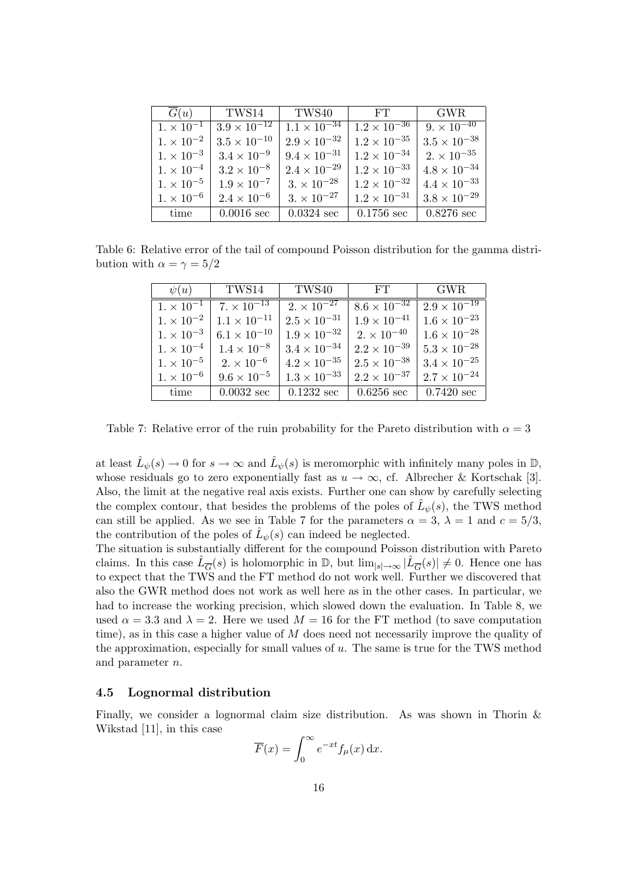| G(u)                | TWS14                            | TWS40                            | FT                               | GWR.                  |
|---------------------|----------------------------------|----------------------------------|----------------------------------|-----------------------|
| $1. \times 10^{-1}$ | $3.9 \times \overline{10^{-12}}$ | $1.1 \times \overline{10^{-34}}$ | $1.2 \times \overline{10^{-36}}$ | $9. \times 10^{-40}$  |
| $1. \times 10^{-2}$ | $3.5 \times 10^{-10}$            | $2.9 \times 10^{-32}$            | $1.2 \times 10^{-35}$            | $3.5 \times 10^{-38}$ |
| $1. \times 10^{-3}$ | $3.4 \times 10^{-9}$             | $9.4 \times 10^{-31}$            | $1.2 \times 10^{-34}$            | $2. \times 10^{-35}$  |
| $1. \times 10^{-4}$ | $3.2 \times 10^{-8}$             | $2.4 \times 10^{-29}$            | $1.2 \times 10^{-33}$            | $4.8 \times 10^{-34}$ |
| $1. \times 10^{-5}$ | $1.9 \times 10^{-7}$             | $3. \times 10^{-28}$             | $1.2 \times 10^{-32}$            | $4.4 \times 10^{-33}$ |
| $1. \times 10^{-6}$ | $2.4 \times 10^{-6}$             | $3. \times 10^{-27}$             | $1.2 \times 10^{-31}$            | $3.8 \times 10^{-29}$ |
| time                | $0.0016 \text{ sec}$             | $0.0324 \text{ sec}$             | $0.1756$ sec                     | $0.8276 \text{ sec}$  |

Table 6: Relative error of the tail of compound Poisson distribution for the gamma distribution with  $\alpha = \gamma = 5/2$ 

| $\psi(u)$           | TWS14                 | TWS40                 | FT                    | GWR.                  |
|---------------------|-----------------------|-----------------------|-----------------------|-----------------------|
| $1. \times 10^{-1}$ | $7 \times 10^{-13}$   | $2. \times 10^{-27}$  | $8.6 \times 10^{-32}$ | $2.9 \times 10^{-19}$ |
| $1. \times 10^{-2}$ | $1.1 \times 10^{-11}$ | $2.5 \times 10^{-31}$ | $1.9 \times 10^{-41}$ | $1.6 \times 10^{-23}$ |
| $1. \times 10^{-3}$ | $6.1 \times 10^{-10}$ | $1.9 \times 10^{-32}$ | $2. \times 10^{-40}$  | $1.6 \times 10^{-28}$ |
| $1. \times 10^{-4}$ | $1.4 \times 10^{-8}$  | $3.4 \times 10^{-34}$ | $2.2 \times 10^{-39}$ | $5.3 \times 10^{-28}$ |
| $1. \times 10^{-5}$ | $2. \times 10^{-6}$   | $4.2 \times 10^{-35}$ | $2.5 \times 10^{-38}$ | $3.4 \times 10^{-25}$ |
| $1. \times 10^{-6}$ | $9.6 \times 10^{-5}$  | $1.3 \times 10^{-33}$ | $2.2 \times 10^{-37}$ | $2.7 \times 10^{-24}$ |
| time                | $0.0032$ sec          | $0.1232$ sec          | $0.6256$ sec          | $0.7420 \text{ sec}$  |

Table 7: Relative error of the ruin probability for the Pareto distribution with  $\alpha = 3$ 

at least  $\hat{L}_{\psi}(s) \to 0$  for  $s \to \infty$  and  $\hat{L}_{\psi}(s)$  is meromorphic with infinitely many poles in  $\mathbb{D}$ , whose residuals go to zero exponentially fast as  $u \to \infty$ , cf. Albrecher & Kortschak [3]. Also, the limit at the negative real axis exists. Further one can show by carefully selecting the complex contour, that besides the problems of the poles of  $\hat{L}_{\psi}(s)$ , the TWS method can still be applied. As we see in Table 7 for the parameters  $\alpha = 3$ ,  $\lambda = 1$  and  $c = 5/3$ , the contribution of the poles of  $\hat{L}_{\psi}(s)$  can indeed be neglected.

The situation is substantially different for the compound Poisson distribution with Pareto claims. In this case  $\hat{L}_{\overline{G}}(s)$  is holomorphic in  $\mathbb{D}$ , but  $\lim_{|s|\to\infty}|\hat{L}_{\overline{G}}(s)|\neq 0$ . Hence one has to expect that the TWS and the FT method do not work well. Further we discovered that also the GWR method does not work as well here as in the other cases. In particular, we had to increase the working precision, which slowed down the evaluation. In Table 8, we used  $\alpha = 3.3$  and  $\lambda = 2$ . Here we used  $M = 16$  for the FT method (to save computation time), as in this case a higher value of M does need not necessarily improve the quality of the approximation, especially for small values of  $u$ . The same is true for the TWS method and parameter n.

### 4.5 Lognormal distribution

Finally, we consider a lognormal claim size distribution. As was shown in Thorin & Wikstad [11], in this case

$$
\overline{F}(x) = \int_0^\infty e^{-xt} f_\mu(x) \, \mathrm{d}x.
$$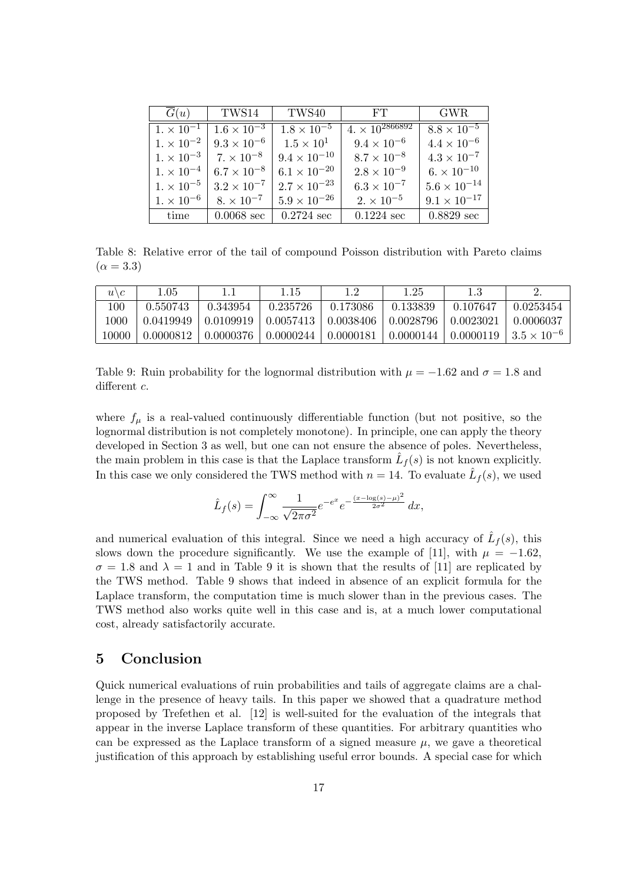| G(u)                | TWS14                | TWS40                 | FT                       | <b>GWR</b>                      |
|---------------------|----------------------|-----------------------|--------------------------|---------------------------------|
| $1. \times 10^{-1}$ | $1.6 \times 10^{-3}$ | $1.8 \times 10^{-5}$  | $4. \times 10^{2866892}$ | $8.8 \times \overline{10^{-5}}$ |
| $1. \times 10^{-2}$ | $9.3 \times 10^{-6}$ | $1.5 \times 10^1$     | $9.4 \times 10^{-6}$     | $4.4 \times 10^{-6}$            |
| $1. \times 10^{-3}$ | $7. \times 10^{-8}$  | $9.4 \times 10^{-10}$ | $8.7 \times 10^{-8}$     | $4.3 \times 10^{-7}$            |
| $1. \times 10^{-4}$ | $6.7 \times 10^{-8}$ | $6.1 \times 10^{-20}$ | $2.8 \times 10^{-9}$     | $6. \times 10^{-10}$            |
| $1. \times 10^{-5}$ | $3.2 \times 10^{-7}$ | $2.7 \times 10^{-23}$ | $6.3 \times 10^{-7}$     | $5.6 \times 10^{-14}$           |
| $1. \times 10^{-6}$ | $8. \times 10^{-7}$  | $5.9 \times 10^{-26}$ | $2. \times 10^{-5}$      | $9.1 \times 10^{-17}$           |
| time                | $0.0068$ sec         | $0.2724$ sec          | $0.1224$ sec             | $0.8829 \text{ sec}$            |

Table 8: Relative error of the tail of compound Poisson distribution with Pareto claims  $(\alpha = 3.3)$ 

| $u \backslash c$ | $1.05\,$  |           | 1.15                  |           | 1.25        | 1.3       |                      |
|------------------|-----------|-----------|-----------------------|-----------|-------------|-----------|----------------------|
| 100              | 0.550743  | 0.343954  | 0.235726              | 0.173086  | 0.133839    | 0.107647  | 0.0253454            |
| 1000             | 0.0419949 | 0.0109919 | $\mid 0.0057413 \mid$ | 0.0038406 | $0.0028796$ | 0.0023021 | -0.0006037           |
| 10000            | 0.0000812 | 0.0000376 | 0.0000244             | 0.0000181 | 0.0000144   | 0.0000119 | $3.5 \times 10^{-6}$ |

Table 9: Ruin probability for the lognormal distribution with  $\mu = -1.62$  and  $\sigma = 1.8$  and different  $c$ .

where  $f_{\mu}$  is a real-valued continuously differentiable function (but not positive, so the lognormal distribution is not completely monotone). In principle, one can apply the theory developed in Section 3 as well, but one can not ensure the absence of poles. Nevertheless, the main problem in this case is that the Laplace transform  $\hat{L}_f(s)$  is not known explicitly. In this case we only considered the TWS method with  $n = 14$ . To evaluate  $\hat{L}_f(s)$ , we used

$$
\hat{L}_f(s) = \int_{-\infty}^{\infty} \frac{1}{\sqrt{2\pi\sigma^2}} e^{-e^x} e^{-\frac{(x-\log(s)-\mu)^2}{2\sigma^2}} dx,
$$

and numerical evaluation of this integral. Since we need a high accuracy of  $\hat{L}_f(s)$ , this slows down the procedure significantly. We use the example of [11], with  $\mu = -1.62$ ,  $\sigma = 1.8$  and  $\lambda = 1$  and in Table 9 it is shown that the results of [11] are replicated by the TWS method. Table 9 shows that indeed in absence of an explicit formula for the Laplace transform, the computation time is much slower than in the previous cases. The TWS method also works quite well in this case and is, at a much lower computational cost, already satisfactorily accurate.

# 5 Conclusion

Quick numerical evaluations of ruin probabilities and tails of aggregate claims are a challenge in the presence of heavy tails. In this paper we showed that a quadrature method proposed by Trefethen et al. [12] is well-suited for the evaluation of the integrals that appear in the inverse Laplace transform of these quantities. For arbitrary quantities who can be expressed as the Laplace transform of a signed measure  $\mu$ , we gave a theoretical justification of this approach by establishing useful error bounds. A special case for which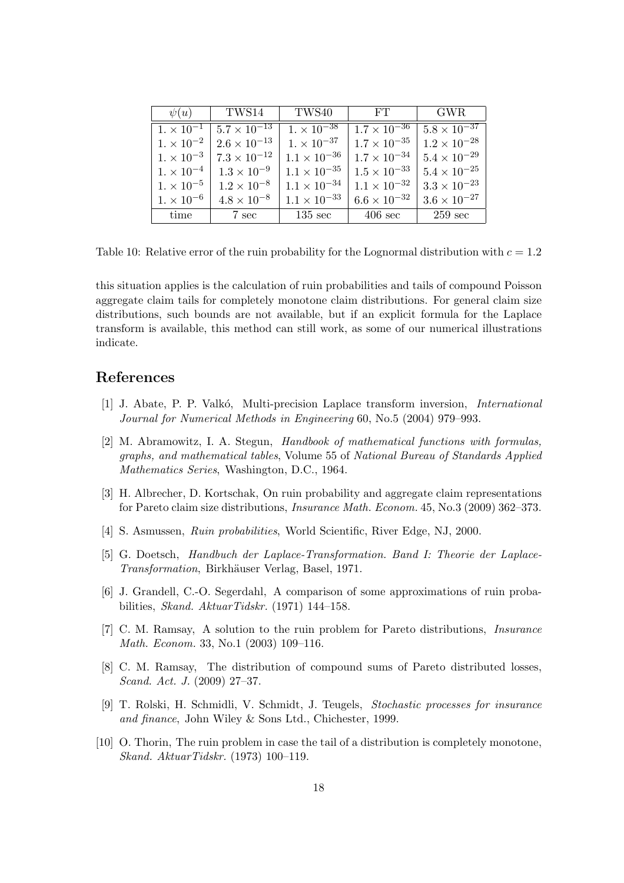| $\psi(u)$           | TWS14                 | TWS40                 | FT                    | GWR.                  |
|---------------------|-----------------------|-----------------------|-----------------------|-----------------------|
| $1. \times 10^{-1}$ | $5.7 \times 10^{-13}$ | $1 \times 10^{-38}$   | $1.7 \times 10^{-36}$ | $5.8 \times 10^{-37}$ |
| $1. \times 10^{-2}$ | $2.6 \times 10^{-13}$ | $1. \times 10^{-37}$  | $1.7 \times 10^{-35}$ | $1.2 \times 10^{-28}$ |
| $1. \times 10^{-3}$ | $7.3 \times 10^{-12}$ | $1.1 \times 10^{-36}$ | $1.7 \times 10^{-34}$ | $5.4 \times 10^{-29}$ |
| $1. \times 10^{-4}$ | $1.3 \times 10^{-9}$  | $1.1 \times 10^{-35}$ | $1.5 \times 10^{-33}$ | $5.4 \times 10^{-25}$ |
| $1. \times 10^{-5}$ | $1.2 \times 10^{-8}$  | $1.1 \times 10^{-34}$ | $1.1 \times 10^{-32}$ | $3.3 \times 10^{-23}$ |
| $1. \times 10^{-6}$ | $4.8 \times 10^{-8}$  | $1.1 \times 10^{-33}$ | $6.6 \times 10^{-32}$ | $3.6 \times 10^{-27}$ |
| time                | 7 sec                 | $135 \text{ sec}$     | $406 \text{ sec}$     | $259 \text{ sec}$     |

Table 10: Relative error of the ruin probability for the Lognormal distribution with  $c = 1.2$ 

this situation applies is the calculation of ruin probabilities and tails of compound Poisson aggregate claim tails for completely monotone claim distributions. For general claim size distributions, such bounds are not available, but if an explicit formula for the Laplace transform is available, this method can still work, as some of our numerical illustrations indicate.

# References

- [1] J. Abate, P. P. Valkó, Multi-precision Laplace transform inversion, *International* Journal for Numerical Methods in Engineering 60, No.5 (2004) 979–993.
- [2] M. Abramowitz, I. A. Stegun, Handbook of mathematical functions with formulas, graphs, and mathematical tables, Volume 55 of National Bureau of Standards Applied Mathematics Series, Washington, D.C., 1964.
- [3] H. Albrecher, D. Kortschak, On ruin probability and aggregate claim representations for Pareto claim size distributions, Insurance Math. Econom. 45, No.3 (2009) 362–373.
- [4] S. Asmussen, Ruin probabilities, World Scientific, River Edge, NJ, 2000.
- [5] G. Doetsch, Handbuch der Laplace-Transformation. Band I: Theorie der Laplace-Transformation, Birkhäuser Verlag, Basel, 1971.
- [6] J. Grandell, C.-O. Segerdahl, A comparison of some approximations of ruin probabilities, Skand. AktuarTidskr. (1971) 144–158.
- [7] C. M. Ramsay, A solution to the ruin problem for Pareto distributions, Insurance Math. Econom. 33, No.1 (2003) 109–116.
- [8] C. M. Ramsay, The distribution of compound sums of Pareto distributed losses, Scand. Act. J. (2009) 27–37.
- [9] T. Rolski, H. Schmidli, V. Schmidt, J. Teugels, Stochastic processes for insurance and finance, John Wiley & Sons Ltd., Chichester, 1999.
- [10] O. Thorin, The ruin problem in case the tail of a distribution is completely monotone, Skand. AktuarTidskr. (1973) 100–119.